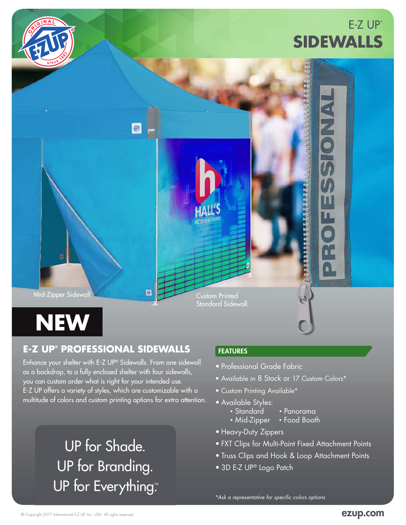

## **E-Z UP® PROFESSIONAL SIDEWALLS**

Enhance your shelter with E-Z UP® Sidewalls. From one sidewall as a backdrop, to a fully enclosed shelter with four sidewalls, you can custom order what is right for your intended use. E-Z UP offers a variety of styles, which are customizable with a multitude of colors and custom printing options for extra attention.

# UP for Shade. UP for Branding. UP for Everything™

## FEATURES

- Professional Grade Fabric
- Available in 8 Stock or 17 Custom Colors\*
- Custom Printing Available\*
- Available Styles:
	- Standard Panorama
	- Mid-Zipper Food Booth
- Heavy-Duty Zippers
- FXT Clips for Multi-Point Fixed Attachment Points
- Truss Clips and Hook & Loop Attachment Points
- 3D E-Z UP® Logo Patch

\**Ask a representative for specific colors options*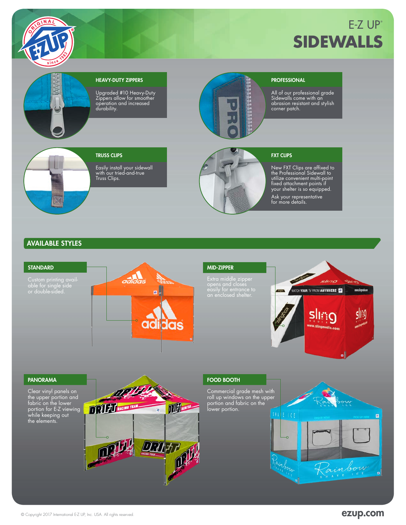

## $E-Z UP<sup>°</sup>$ **SIDEWALLS**



#### HEAVY-DUTY ZIPPERS

Upgraded #10 Heavy-Duty Zippers allow for smoother operation and increased durability.



#### **PROFESSIONAL**

All of our professional grade Sidewalls come with an abrasion resistant and stylish corner patch.

## TRUSS CLIPS

Easily install your sidewall with our tried-and-true Truss Clips.



#### FXT CLIPS

New FXT Clips are affixed to the Professional Sidewall to utilize convenient multi-point fixed attachment points if your shelter is so equipped. Ask your representative for more details.

#### AVAILABLE STYLES



### MID-ZIPPER Extra middle zipper



#### PANORAMA

Clear vinyl panels on the upper portion and fabric on the lower portion for E-Z viewing while keeping out the elements.



#### FOOD BOOTH

Commercial grade mesh with roll up windows on the upper portion and fabric on the lower portion.